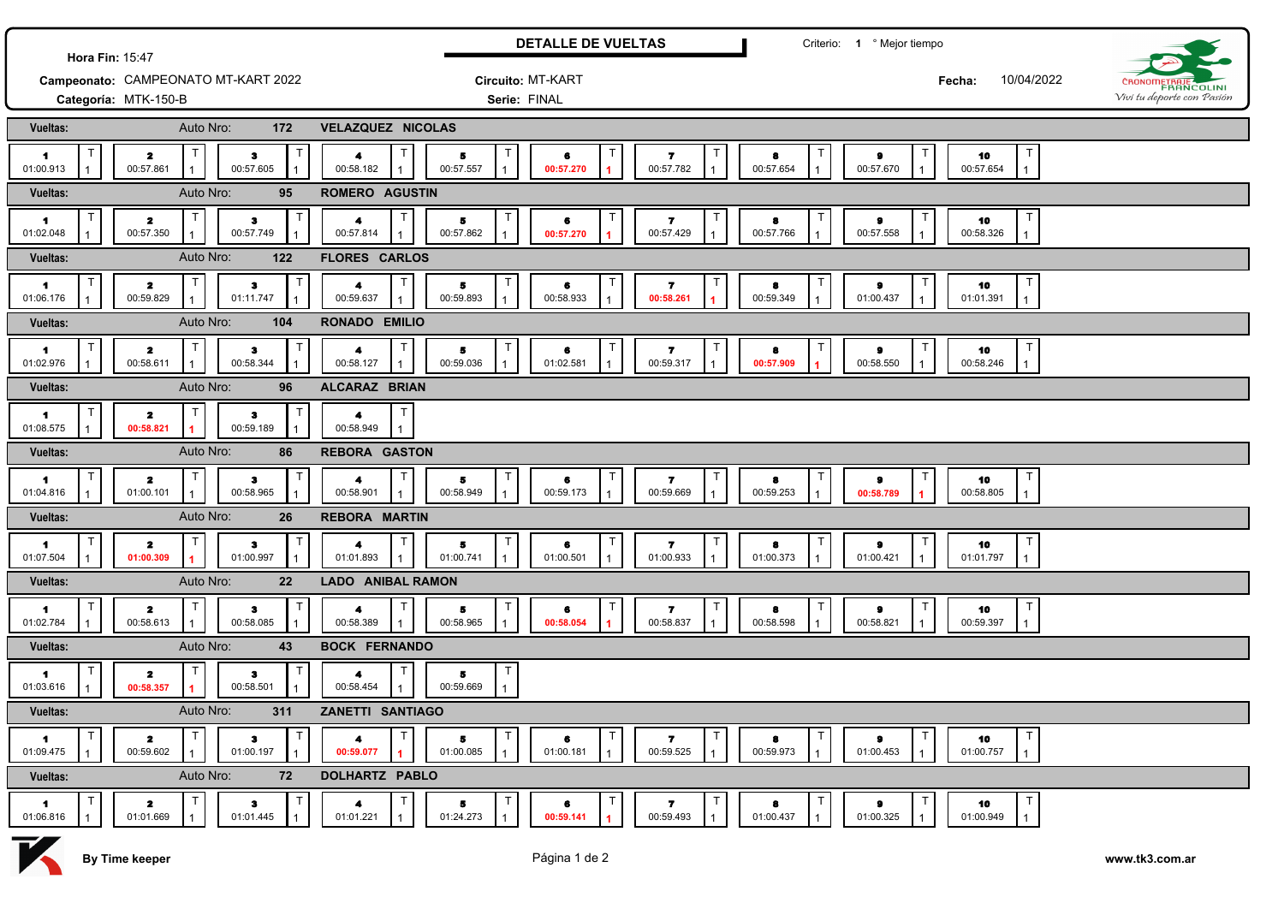| Hora Fin: 15:47                   |                                                                          | <b>DETALLE DE VUELTAS</b>                           |                                                                                                  | Criterio: 1 º Mejor tiempo                |                                                |                                                        |                           |                            |
|-----------------------------------|--------------------------------------------------------------------------|-----------------------------------------------------|--------------------------------------------------------------------------------------------------|-------------------------------------------|------------------------------------------------|--------------------------------------------------------|---------------------------|----------------------------|
|                                   | Campeonato: CAMPEONATO MT-KART 2022                                      |                                                     | Circuito: MT-KART                                                                                |                                           |                                                |                                                        | 10/04/2022<br>Fecha:      | FRANCOLINI                 |
|                                   | Categoría: MTK-150-B                                                     |                                                     | Serie: FINAL                                                                                     |                                           |                                                |                                                        |                           | Vivi tu deporte con Pasión |
| <b>Vueltas:</b>                   | Auto Nro:<br>172                                                         | <b>VELAZQUEZ NICOLAS</b>                            |                                                                                                  |                                           |                                                |                                                        |                           |                            |
| $\blacktriangleleft$<br>01:00.913 | $\mathbf{z}$<br>з<br>00:57.861<br>00:57.605                              | Т<br>4<br>00:58.182                                 | $\top$<br>5<br>6<br>00:57.557<br>00:57.270                                                       | $\overline{\mathbf{r}}$<br>00:57.782      | 8<br>00:57.654                                 | 9<br>00:57.670                                         | 10<br>00:57.654           |                            |
| Vueltas:                          | Auto Nro:<br>95                                                          | ROMERO AGUSTIN                                      |                                                                                                  |                                           |                                                |                                                        |                           |                            |
| $\blacktriangleleft$<br>01:02.048 | $\overline{\mathbf{z}}$<br>з<br>00:57.350<br>00:57.749                   | 4<br>00:57.814                                      | $\mathsf T$<br>5<br>6<br>00:57.862<br>00:57.270                                                  | $\overline{\mathbf{r}}$<br>00:57.429      | 8<br>00:57.766                                 | $\pmb{9}$<br>00:57.558                                 | 10<br>00:58.326           |                            |
| Vueltas:                          | Auto Nro:<br>122                                                         | <b>FLORES CARLOS</b>                                |                                                                                                  |                                           |                                                |                                                        |                           |                            |
| $\blacksquare$<br>01:06.176       | $\mathbf{z}$<br>з<br>00:59.829<br>01:11.747                              | $\mathsf T$<br>4<br>00:59.637                       | $\top$<br>5<br>6<br>00:59.893<br>00:58.933                                                       | 7<br>00:58.261                            | 8<br>00:59.349                                 | 9<br>01:00.437<br>$\mathbf{1}$                         | 10<br>01:01.391           |                            |
| Vueltas:                          | Auto Nro:<br>104                                                         | RONADO EMILIO                                       |                                                                                                  |                                           |                                                |                                                        |                           |                            |
| $\blacksquare$<br>01:02.976       | $\mathbf{z}$<br>$\mathbf{3}$<br>00:58.344<br>00:58.611                   | Т<br>4<br>00:58.127                                 | T<br>5<br>6<br>00:59.036<br>01:02.581                                                            | 7<br>00:59.317                            | 8<br>00:57.909                                 | 9<br>00:58.550<br>$\mathbf{1}$                         | 10<br>00:58.246           |                            |
| Vueltas:                          | Auto Nro:<br>96                                                          | ALCARAZ BRIAN                                       |                                                                                                  |                                           |                                                |                                                        |                           |                            |
| и.<br>01:08.575                   | $\mathbf{z}$<br>з<br>00:59.189<br>00:58.821                              | 4<br>00:58.949                                      |                                                                                                  |                                           |                                                |                                                        |                           |                            |
| Vueltas:                          | Auto Nro:<br>86                                                          | <b>REBORA GASTON</b>                                |                                                                                                  |                                           |                                                |                                                        |                           |                            |
| -1<br>01:04.816                   | $\mathbf{2}$<br>3<br>01:00.101<br>00:58.965                              | $\mathsf T$<br>4<br>00:58.901                       | T<br>Б<br>6<br>00:58.949<br>00:59.173                                                            | T<br>$\overline{\mathbf{r}}$<br>00:59.669 | $\mathsf{T}$<br>8<br>00:59.253                 | 9<br>00:58.789                                         | $\top$<br>10<br>00:58.805 |                            |
| Vueltas:                          | Auto Nro:<br>26                                                          | <b>REBORA MARTIN</b>                                |                                                                                                  |                                           |                                                |                                                        |                           |                            |
| -1<br>01:07.504                   | 2<br>з<br>01:00.997<br>01:00.309                                         | 4<br>01:01.893                                      | $\mathsf T$<br>5<br>6<br>01:00.741<br>01:00.501                                                  | 7<br>01:00.933                            | 8<br>01:00.373                                 | 9<br>01:00.421                                         | 10<br>01:01.797           |                            |
| <b>Vueltas:</b>                   | Auto Nro:<br>22                                                          | <b>LADO ANIBAL RAMON</b>                            |                                                                                                  |                                           |                                                |                                                        |                           |                            |
| 1.<br>01:02.784                   | $\mathbf{z}$<br>з<br>00:58.613<br>00:58.085                              | 4<br>00:58.389                                      | T<br>Б<br>6<br>00:58.965<br>00:58.054                                                            | 7<br>00:58.837                            | 8<br>00:58.598                                 | 9<br>00:58.821                                         | 10<br>00:59.397           |                            |
| Vueltas:                          | Auto Nro:<br>43                                                          | <b>BOCK FERNANDO</b>                                |                                                                                                  |                                           |                                                |                                                        |                           |                            |
| $\blacktriangleleft$<br>01:03.616 | $\mathbf{z}$<br>з<br>00:58.357<br>00:58.501                              | 4<br>00:58.454                                      | Т<br>5<br>00:59.669                                                                              |                                           |                                                |                                                        |                           |                            |
| <b>Vueltas:</b>                   | Auto Nro:<br>311                                                         | ZANETTI SANTIAGO                                    |                                                                                                  |                                           |                                                |                                                        |                           |                            |
| $\blacksquare$<br>01:09.475       | $\mathbf{z}$<br>$\mathbf{3}$<br>00:59.602<br>01:00.197<br>$\mathbf{1}$   | T<br>$\top$<br>$\overline{\mathbf{4}}$<br>00:59.077 | T<br>5.<br>6<br>01:00.085<br>01:00.181                                                           | $\mathbf{z}$<br>00:59.525                 | 8<br>00:59.973<br>$\overline{1}$               | $\bullet$<br>01:00.453                                 | $\top$<br>10<br>01:00.757 |                            |
| Vueltas:                          | Auto Nro:<br>72                                                          | DOLHARTZ PABLO                                      |                                                                                                  |                                           |                                                |                                                        |                           |                            |
| $\blacksquare$<br>01:06.816       | T<br>$\mathbf{z}$<br>$\bullet$<br>01:01.669<br>01:01.445<br>$\mathbf{1}$ | T<br>$\mathsf{T}$<br>$\blacktriangle$<br>01:01.221  | T<br>$\mathsf T$<br>$5 -$<br>6<br>01:24.273<br>00:59.141<br>$\blacktriangleleft$<br>$\mathbf{1}$ | T<br>$\mathbf{z}$<br>00:59.493            | $\mathsf{T}$<br>8<br>01:00.437<br>$\mathbf{1}$ | $\mathsf{T}$<br>$\bullet$<br>01:00.325<br>$\mathbf{1}$ | T<br>10<br>01:00.949      |                            |